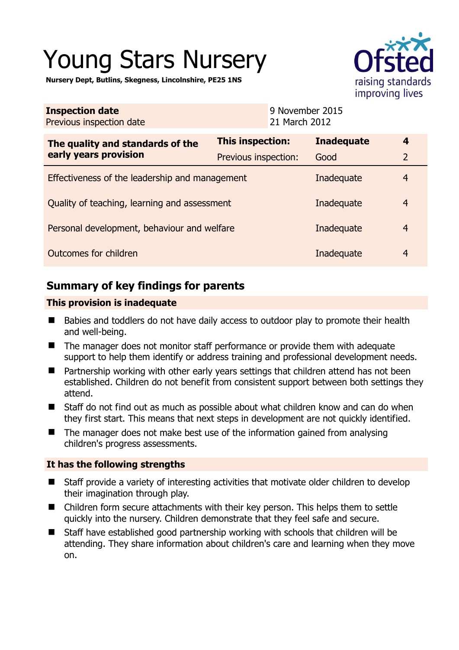# Young Stars Nursery

**Nursery Dept, Butlins, Skegness, Lincolnshire, PE25 1NS** 

|        | TSTEO                                |
|--------|--------------------------------------|
|        | raising standards<br>improving lives |
| r 2015 |                                      |

| <b>Inspection date</b><br>Previous inspection date | 9 November 2015<br>21 March 2012 |                   |                |
|----------------------------------------------------|----------------------------------|-------------------|----------------|
| The quality and standards of the                   | This inspection:                 | <b>Inadequate</b> | 4              |
| early years provision                              | Previous inspection:             | Good              | $\overline{2}$ |
| Effectiveness of the leadership and management     | Inadequate                       | $\overline{4}$    |                |
| Quality of teaching, learning and assessment       | Inadequate                       | $\overline{4}$    |                |
| Personal development, behaviour and welfare        | Inadequate                       | $\overline{4}$    |                |
| Outcomes for children                              | Inadequate                       | $\overline{4}$    |                |

# **Summary of key findings for parents**

## **This provision is inadequate**

- Babies and toddlers do not have daily access to outdoor play to promote their health and well-being.
- The manager does not monitor staff performance or provide them with adequate support to help them identify or address training and professional development needs.
- Partnership working with other early years settings that children attend has not been established. Children do not benefit from consistent support between both settings they attend.
- Staff do not find out as much as possible about what children know and can do when they first start. This means that next steps in development are not quickly identified.
- The manager does not make best use of the information gained from analysing children's progress assessments.

## **It has the following strengths**

- Staff provide a variety of interesting activities that motivate older children to develop their imagination through play.
- Children form secure attachments with their key person. This helps them to settle quickly into the nursery. Children demonstrate that they feel safe and secure.
- Staff have established good partnership working with schools that children will be attending. They share information about children's care and learning when they move on.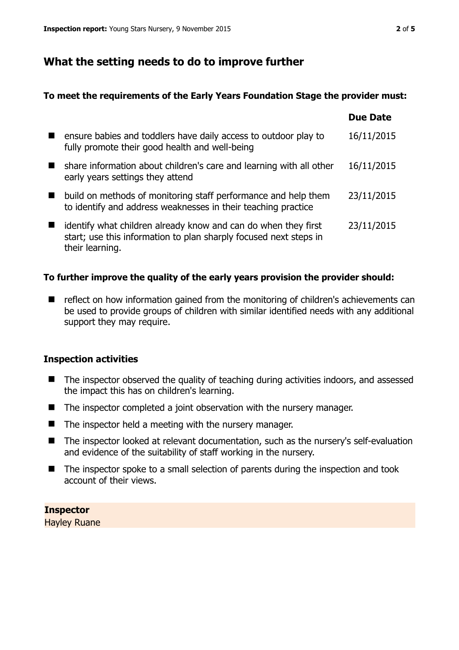# **What the setting needs to do to improve further**

### **To meet the requirements of the Early Years Foundation Stage the provider must:**

|                                                                                                                                                        | <b>Due Date</b> |
|--------------------------------------------------------------------------------------------------------------------------------------------------------|-----------------|
| ensure babies and toddlers have daily access to outdoor play to<br>fully promote their good health and well-being                                      | 16/11/2015      |
| share information about children's care and learning with all other<br>early years settings they attend                                                | 16/11/2015      |
| build on methods of monitoring staff performance and help them<br>to identify and address weaknesses in their teaching practice                        | 23/11/2015      |
| identify what children already know and can do when they first<br>start; use this information to plan sharply focused next steps in<br>their learning. | 23/11/2015      |

## **To further improve the quality of the early years provision the provider should:**

■ reflect on how information gained from the monitoring of children's achievements can be used to provide groups of children with similar identified needs with any additional support they may require.

#### **Inspection activities**

- The inspector observed the quality of teaching during activities indoors, and assessed the impact this has on children's learning.
- The inspector completed a joint observation with the nursery manager.
- $\blacksquare$  The inspector held a meeting with the nursery manager.
- The inspector looked at relevant documentation, such as the nursery's self-evaluation and evidence of the suitability of staff working in the nursery.
- The inspector spoke to a small selection of parents during the inspection and took account of their views.

**Inspector**  Hayley Ruane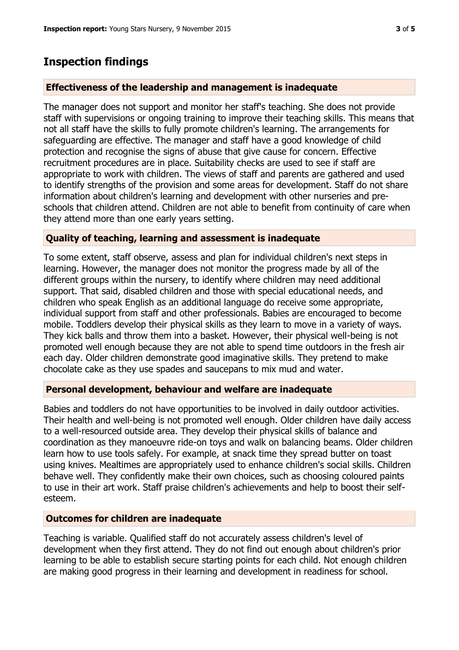## **Inspection findings**

#### **Effectiveness of the leadership and management is inadequate**

The manager does not support and monitor her staff's teaching. She does not provide staff with supervisions or ongoing training to improve their teaching skills. This means that not all staff have the skills to fully promote children's learning. The arrangements for safeguarding are effective. The manager and staff have a good knowledge of child protection and recognise the signs of abuse that give cause for concern. Effective recruitment procedures are in place. Suitability checks are used to see if staff are appropriate to work with children. The views of staff and parents are gathered and used to identify strengths of the provision and some areas for development. Staff do not share information about children's learning and development with other nurseries and preschools that children attend. Children are not able to benefit from continuity of care when they attend more than one early years setting.

#### **Quality of teaching, learning and assessment is inadequate**

To some extent, staff observe, assess and plan for individual children's next steps in learning. However, the manager does not monitor the progress made by all of the different groups within the nursery, to identify where children may need additional support. That said, disabled children and those with special educational needs, and children who speak English as an additional language do receive some appropriate, individual support from staff and other professionals. Babies are encouraged to become mobile. Toddlers develop their physical skills as they learn to move in a variety of ways. They kick balls and throw them into a basket. However, their physical well-being is not promoted well enough because they are not able to spend time outdoors in the fresh air each day. Older children demonstrate good imaginative skills. They pretend to make chocolate cake as they use spades and saucepans to mix mud and water.

#### **Personal development, behaviour and welfare are inadequate**

Babies and toddlers do not have opportunities to be involved in daily outdoor activities. Their health and well-being is not promoted well enough. Older children have daily access to a well-resourced outside area. They develop their physical skills of balance and coordination as they manoeuvre ride-on toys and walk on balancing beams. Older children learn how to use tools safely. For example, at snack time they spread butter on toast using knives. Mealtimes are appropriately used to enhance children's social skills. Children behave well. They confidently make their own choices, such as choosing coloured paints to use in their art work. Staff praise children's achievements and help to boost their selfesteem.

#### **Outcomes for children are inadequate**

Teaching is variable. Qualified staff do not accurately assess children's level of development when they first attend. They do not find out enough about children's prior learning to be able to establish secure starting points for each child. Not enough children are making good progress in their learning and development in readiness for school.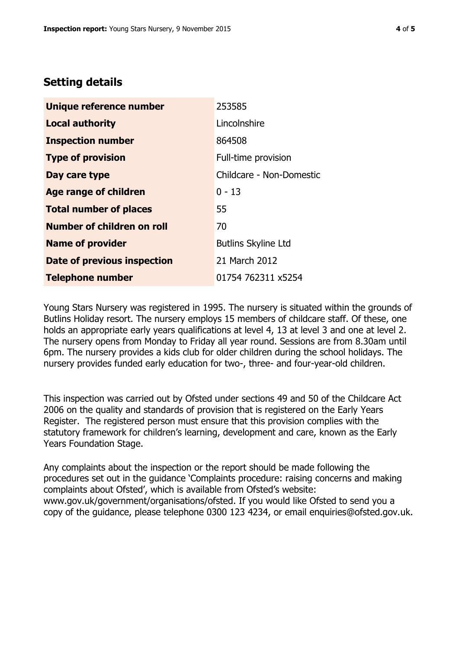# **Setting details**

| Unique reference number       | 253585                     |
|-------------------------------|----------------------------|
| <b>Local authority</b>        | Lincolnshire               |
| <b>Inspection number</b>      | 864508                     |
| <b>Type of provision</b>      | Full-time provision        |
| Day care type                 | Childcare - Non-Domestic   |
| <b>Age range of children</b>  | $0 - 13$                   |
| <b>Total number of places</b> | 55                         |
| Number of children on roll    | 70                         |
| <b>Name of provider</b>       | <b>Butlins Skyline Ltd</b> |
| Date of previous inspection   | 21 March 2012              |
| <b>Telephone number</b>       | 01754 762311 x5254         |

Young Stars Nursery was registered in 1995. The nursery is situated within the grounds of Butlins Holiday resort. The nursery employs 15 members of childcare staff. Of these, one holds an appropriate early years qualifications at level 4, 13 at level 3 and one at level 2. The nursery opens from Monday to Friday all year round. Sessions are from 8.30am until 6pm. The nursery provides a kids club for older children during the school holidays. The nursery provides funded early education for two-, three- and four-year-old children.

This inspection was carried out by Ofsted under sections 49 and 50 of the Childcare Act 2006 on the quality and standards of provision that is registered on the Early Years Register. The registered person must ensure that this provision complies with the statutory framework for children's learning, development and care, known as the Early Years Foundation Stage.

Any complaints about the inspection or the report should be made following the procedures set out in the guidance 'Complaints procedure: raising concerns and making complaints about Ofsted', which is available from Ofsted's website: www.gov.uk/government/organisations/ofsted. If you would like Ofsted to send you a copy of the guidance, please telephone 0300 123 4234, or email enquiries@ofsted.gov.uk.